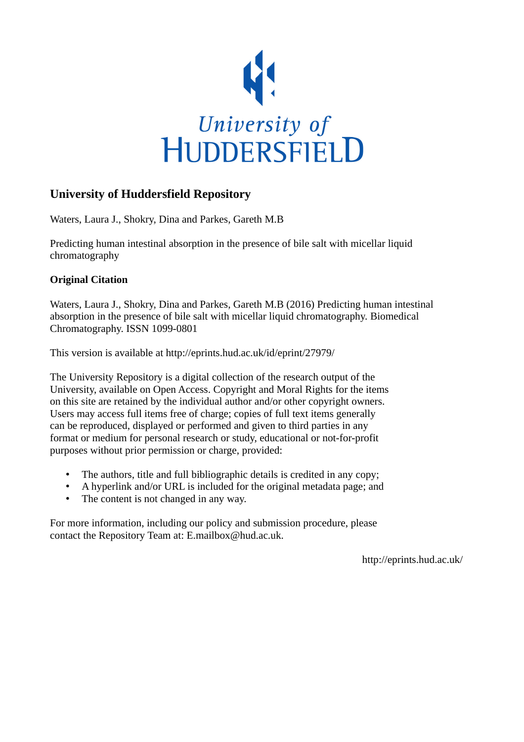

# **University of Huddersfield Repository**

Waters, Laura J., Shokry, Dina and Parkes, Gareth M.B

Predicting human intestinal absorption in the presence of bile salt with micellar liquid chromatography

## **Original Citation**

Waters, Laura J., Shokry, Dina and Parkes, Gareth M.B (2016) Predicting human intestinal absorption in the presence of bile salt with micellar liquid chromatography. Biomedical Chromatography. ISSN 1099-0801

This version is available at http://eprints.hud.ac.uk/id/eprint/27979/

The University Repository is a digital collection of the research output of the University, available on Open Access. Copyright and Moral Rights for the items on this site are retained by the individual author and/or other copyright owners. Users may access full items free of charge; copies of full text items generally can be reproduced, displayed or performed and given to third parties in any format or medium for personal research or study, educational or not-for-profit purposes without prior permission or charge, provided:

- The authors, title and full bibliographic details is credited in any copy;
- A hyperlink and/or URL is included for the original metadata page; and
- The content is not changed in any way.

For more information, including our policy and submission procedure, please contact the Repository Team at: E.mailbox@hud.ac.uk.

http://eprints.hud.ac.uk/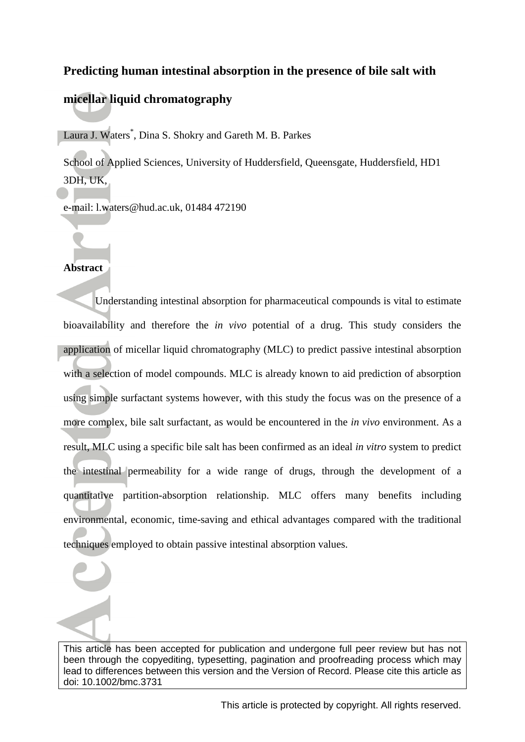# **Predicting human intestinal absorption in the presence of bile salt with**

# **micellar liquid chromatography**

Laura J. Waters\* , Dina S. Shokry and Gareth M. B. Parkes

School of Applied Sciences, University of Huddersfield, Queensgate, Huddersfield, HD1 3DH, UK,

e-mail: l.waters@hud.ac.uk, 01484 472190

## **Abstract**

Understanding intestinal absorption for pharmaceutical compounds is vital to estimate bioavailability and therefore the *in vivo* potential of a drug. This study considers the application of micellar liquid chromatography (MLC) to predict passive intestinal absorption with a selection of model compounds. MLC is already known to aid prediction of absorption using simple surfactant systems however, with this study the focus was on the presence of a more complex, bile salt surfactant, as would be encountered in the *in vivo* environment. As a result, MLC using a specific bile salt has been confirmed as an ideal *in vitro* system to predict the intestinal permeability for a wide range of drugs, through the development of a quantitative partition-absorption relationship. MLC offers many benefits including environmental, economic, time-saving and ethical advantages compared with the traditional techniques employed to obtain passive intestinal absorption values.

This article has been accepted for publication and undergone full peer review but has not been through the copyediting, typesetting, pagination and proofreading process which may lead to differences between this version and the Version of Record. Please cite this article as doi: 10.1002/bmc.3731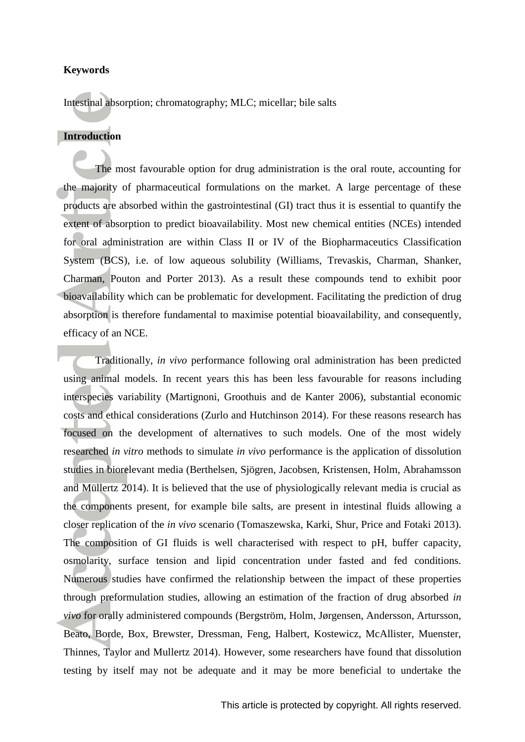### **Keywords**

Intestinal absorption; chromatography; MLC; micellar; bile salts

## **Introduction**

The most favourable option for drug administration is the oral route, accounting for the majority of pharmaceutical formulations on the market. A large percentage of these products are absorbed within the gastrointestinal (GI) tract thus it is essential to quantify the extent of absorption to predict bioavailability. Most new chemical entities (NCEs) intended for oral administration are within Class II or IV of the Biopharmaceutics Classification System (BCS), i.e. of low aqueous solubility [\(Williams, Trevaskis, Charman, Shanker,](#page-13-0)  [Charman, Pouton and Porter 2013\)](#page-13-0). As a result these compounds tend to exhibit poor bioavailability which can be problematic for development. Facilitating the prediction of drug absorption is therefore fundamental to maximise potential bioavailability, and consequently, efficacy of an NCE.

Traditionally, *in vivo* performance following oral administration has been predicted using animal models. In recent years this has been less favourable for reasons including interspecies variability [\(Martignoni, Groothuis and de Kanter 2006\)](#page-12-0), substantial economic costs and ethical considerations [\(Zurlo and Hutchinson 2014\)](#page-13-1). For these reasons research has focused on the development of alternatives to such models. One of the most widely researched *in vitro* methods to simulate *in vivo* performance is the application of dissolution studies in biorelevant media [\(Berthelsen, Sjögren, Jacobsen, Kristensen, Holm, Abrahamsson](#page-11-0)  [and Müllertz 2014\)](#page-11-0). It is believed that the use of physiologically relevant media is crucial as the components present, for example bile salts, are present in intestinal fluids allowing a closer replication of the *in vivo* scenario [\(Tomaszewska, Karki, Shur, Price and Fotaki 2013\)](#page-13-2). The composition of GI fluids is well characterised with respect to pH, buffer capacity, osmolarity, surface tension and lipid concentration under fasted and fed conditions. Numerous studies have confirmed the relationship between the impact of these properties through preformulation studies, allowing an estimation of the fraction of drug absorbed *in vivo* for orally administered compounds [\(Bergström, Holm, Jørgensen, Andersson, Artursson,](#page-11-1)  [Beato, Borde, Box, Brewster, Dressman, Feng, Halbert, Kostewicz, McAllister, Muenster,](#page-11-1)  [Thinnes, Taylor and Mullertz 2014\)](#page-11-1). However, some researchers have found that dissolution testing by itself may not be adequate and it may be more beneficial to undertake the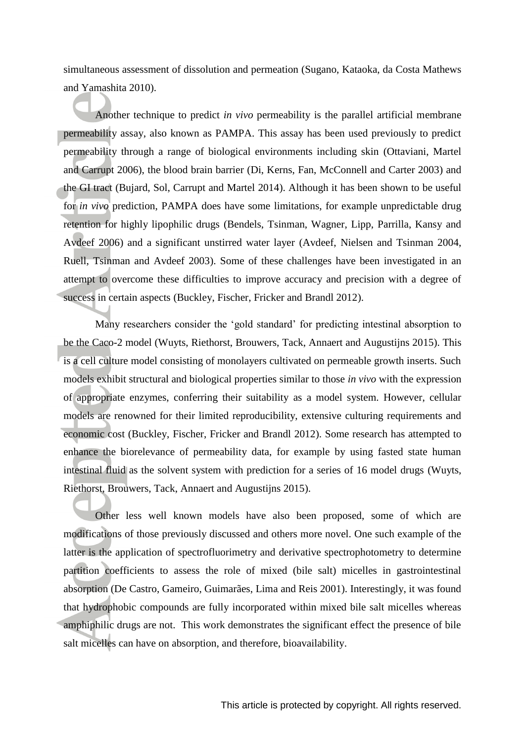simultaneous assessment of dissolution and permeation [\(Sugano, Kataoka, da Costa Mathews](#page-13-3)  [and Yamashita 2010\)](#page-13-3).

Another technique to predict *in vivo* permeability is the parallel artificial membrane permeability assay, also known as PAMPA. This assay has been used previously to predict permeability through a range of biological environments including skin [\(Ottaviani, Martel](#page-12-1)  [and Carrupt 2006\)](#page-12-1), the blood brain barrier [\(Di, Kerns, Fan, McConnell and Carter 2003\)](#page-12-2) and the GI tract [\(Bujard, Sol, Carrupt and Martel 2014\)](#page-11-2). Although it has been shown to be useful for *in vivo* prediction, PAMPA does have some limitations, for example unpredictable drug retention for highly lipophilic drugs [\(Bendels, Tsinman, Wagner, Lipp, Parrilla, Kansy and](#page-11-3)  [Avdeef 2006\)](#page-11-3) and a significant unstirred water layer [\(Avdeef, Nielsen and Tsinman 2004,](#page-11-4) [Ruell, Tsinman and Avdeef 2003\)](#page-12-3). Some of these challenges have been investigated in an attempt to overcome these difficulties to improve accuracy and precision with a degree of success in certain aspects [\(Buckley, Fischer, Fricker and Brandl 2012\)](#page-11-5).

Many researchers consider the 'gold standard' for predicting intestinal absorption to be the Caco-2 model [\(Wuyts, Riethorst, Brouwers, Tack, Annaert and Augustijns 2015\)](#page-13-4). This is a cell culture model consisting of monolayers cultivated on permeable growth inserts. Such models exhibit structural and biological properties similar to those *in vivo* with the expression of appropriate enzymes, conferring their suitability as a model system. However, cellular models are renowned for their limited reproducibility, extensive culturing requirements and economic cost [\(Buckley, Fischer, Fricker and Brandl 2012\)](#page-11-5). Some research has attempted to enhance the biorelevance of permeability data, for example by using fasted state human intestinal fluid as the solvent system with prediction for a series of 16 model drugs [\(Wuyts,](#page-13-4)  [Riethorst, Brouwers, Tack, Annaert and Augustijns 2015\)](#page-13-4).

Other less well known models have also been proposed, some of which are modifications of those previously discussed and others more novel. One such example of the latter is the application of spectrofluorimetry and derivative spectrophotometry to determine partition coefficients to assess the role of mixed (bile salt) micelles in gastrointestinal absorption [\(De Castro, Gameiro, Guimarães, Lima and Reis 2001\)](#page-11-6). Interestingly, it was found that hydrophobic compounds are fully incorporated within mixed bile salt micelles whereas amphiphilic drugs are not. This work demonstrates the significant effect the presence of bile salt micelles can have on absorption, and therefore, bioavailability.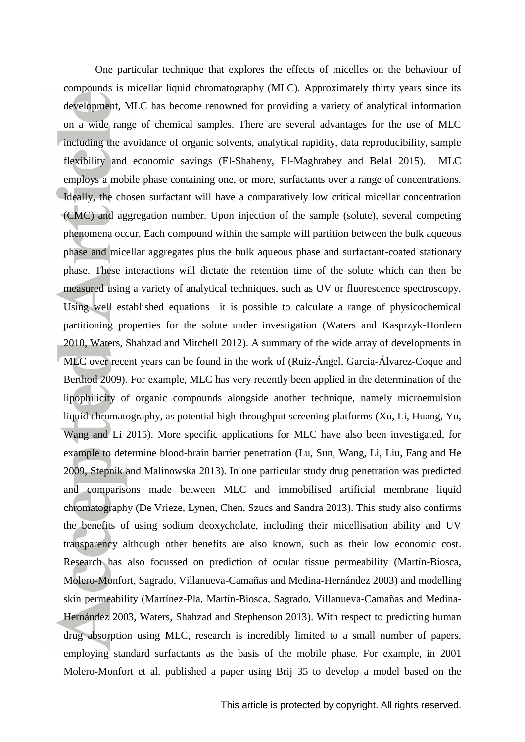One particular technique that explores the effects of micelles on the behaviour of compounds is micellar liquid chromatography (MLC). Approximately thirty years since its development, MLC has become renowned for providing a variety of analytical information on a wide range of chemical samples. There are several advantages for the use of MLC including the avoidance of organic solvents, analytical rapidity, data reproducibility, sample flexibility and economic savings [\(El-Shaheny, El-Maghrabey and Belal 2015\)](#page-12-4). MLC employs a mobile phase containing one, or more, surfactants over a range of concentrations. Ideally, the chosen surfactant will have a comparatively low critical micellar concentration (CMC) and aggregation number. Upon injection of the sample (solute), several competing phenomena occur. Each compound within the sample will partition between the bulk aqueous phase and micellar aggregates plus the bulk aqueous phase and surfactant-coated stationary phase. These interactions will dictate the retention time of the solute which can then be measured using a variety of analytical techniques, such as UV or fluorescence spectroscopy. Using well established equations it is possible to calculate a range of physicochemical partitioning properties for the solute under investigation [\(Waters and Kasprzyk-Hordern](#page-13-5)  [2010,](#page-13-5) [Waters, Shahzad and Mitchell 2012\)](#page-13-6). A summary of the wide array of developments in MLC over recent years can be found in the work of [\(Ruiz-Ángel, Garcia-Álvarez-Coque and](#page-12-5)  [Berthod 2009\)](#page-12-5). For example, MLC has very recently been applied in the determination of the lipophilicity of organic compounds alongside another technique, namely microemulsion liquid chromatography, as potential high-throughput screening platforms [\(Xu, Li, Huang, Yu,](#page-13-7)  [Wang and Li 2015\)](#page-13-7). More specific applications for MLC have also been investigated, for example to determine blood-brain barrier penetration [\(Lu, Sun, Wang, Li, Liu, Fang and He](#page-12-6)  [2009,](#page-12-6) [Stepnik and Malinowska 2013\)](#page-12-7). In one particular study drug penetration was predicted and comparisons made between MLC and immobilised artificial membrane liquid chromatography [\(De Vrieze, Lynen, Chen, Szucs and Sandra 2013\)](#page-12-8). This study also confirms the benefits of using sodium deoxycholate, including their micellisation ability and UV transparency although other benefits are also known, such as their low economic cost. Research has also focussed on prediction of ocular tissue permeability [\(Martín-Biosca,](#page-12-9)  [Molero-Monfort, Sagrado, Villanueva-Camañas and Medina-Hernández 2003\)](#page-12-9) and modelling skin permeability [\(Martínez-Pla, Martín-Biosca, Sagrado, Villanueva-Camañas and Medina-](#page-12-10)[Hernández 2003,](#page-12-10) [Waters, Shahzad and Stephenson 2013\)](#page-13-8). With respect to predicting human drug absorption using MLC, research is incredibly limited to a small number of papers, employing standard surfactants as the basis of the mobile phase. For example, in 2001 Molero-Monfort et al. published a paper using Brij 35 to develop a model based on the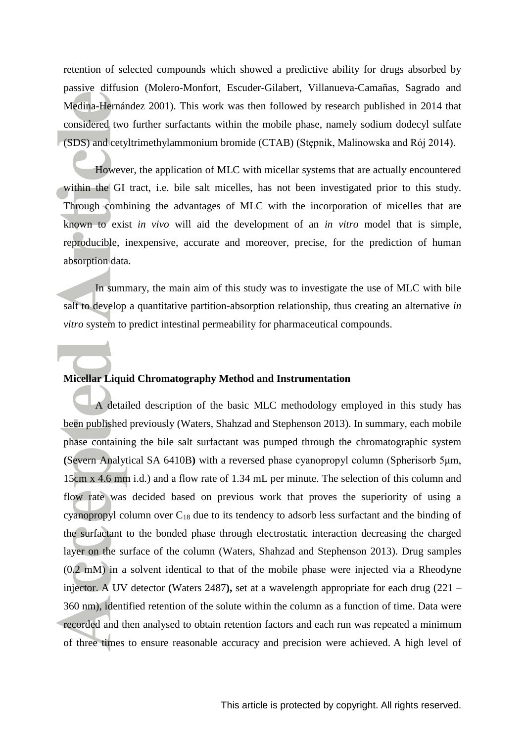retention of selected compounds which showed a predictive ability for drugs absorbed by passive diffusion [\(Molero-Monfort, Escuder-Gilabert, Villanueva-Camañas, Sagrado and](#page-12-11)  [Medina-Hernández 2001\)](#page-12-11). This work was then followed by research published in 2014 that considered two further surfactants within the mobile phase, namely sodium dodecyl sulfate (SDS) and cetyltrimethylammonium bromide (CTAB) (Stępnik, Malinowska and Rój 2014).

However, the application of MLC with micellar systems that are actually encountered within the GI tract, i.e. bile salt micelles, has not been investigated prior to this study. Through combining the advantages of MLC with the incorporation of micelles that are known to exist *in vivo* will aid the development of an *in vitro* model that is simple, reproducible, inexpensive, accurate and moreover, precise, for the prediction of human absorption data.

In summary, the main aim of this study was to investigate the use of MLC with bile salt to develop a quantitative partition-absorption relationship, thus creating an alternative *in vitro* system to predict intestinal permeability for pharmaceutical compounds.

### **Micellar Liquid Chromatography Method and Instrumentation**

A detailed description of the basic MLC methodology employed in this study has been published previously [\(Waters, Shahzad and Stephenson 2013\)](#page-13-8). In summary, each mobile phase containing the bile salt surfactant was pumped through the chromatographic system **(**Severn Analytical SA 6410B**)** with a reversed phase cyanopropyl column (Spherisorb 5μm, 15cm x 4.6 mm i.d.) and a flow rate of 1.34 mL per minute. The selection of this column and flow rate was decided based on previous work that proves the superiority of using a cyanopropyl column over  $C_{18}$  due to its tendency to adsorb less surfactant and the binding of the surfactant to the bonded phase through electrostatic interaction decreasing the charged layer on the surface of the column (Waters, Shahzad and Stephenson 2013). Drug samples (0.2 mM) in a solvent identical to that of the mobile phase were injected via a Rheodyne injector. A UV detector **(**Waters 2487**),** set at a wavelength appropriate for each drug (221 – 360 nm), identified retention of the solute within the column as a function of time. Data were recorded and then analysed to obtain retention factors and each run was repeated a minimum of three times to ensure reasonable accuracy and precision were achieved. A high level of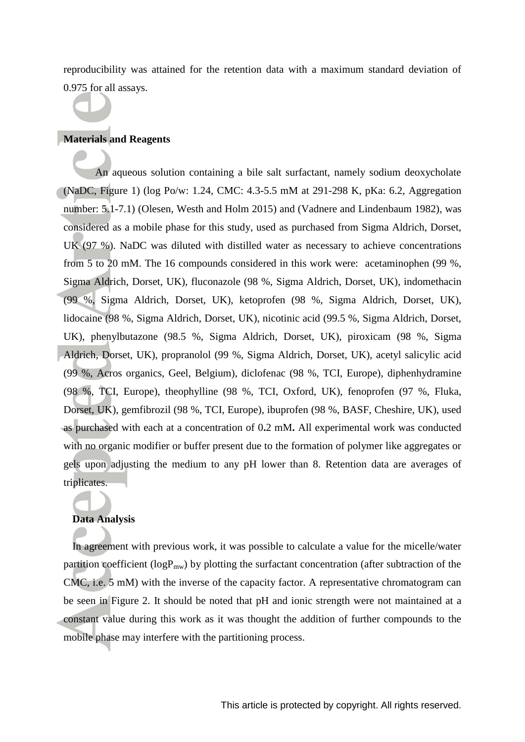reproducibility was attained for the retention data with a maximum standard deviation of 0.975 for all assays.

## **Materials and Reagents**

An aqueous solution containing a bile salt surfactant, namely sodium deoxycholate (NaDC, Figure 1) (log Po/w: 1.24, CMC: 4.3-5.5 mM at 291-298 K, pKa: 6.2, Aggregation number: 5.1-7.1) [\(Olesen, Westh and Holm 2015\)](#page-12-12) and [\(Vadnere and Lindenbaum 1982\)](#page-13-10), was considered as a mobile phase for this study, used as purchased from Sigma Aldrich, Dorset, UK (97 %). NaDC was diluted with distilled water as necessary to achieve concentrations from 5 to 20 mM. The 16 compounds considered in this work were: acetaminophen (99 %, Sigma Aldrich, Dorset, UK), fluconazole (98 %, Sigma Aldrich, Dorset, UK), indomethacin (99 %, Sigma Aldrich, Dorset, UK), ketoprofen (98 %, Sigma Aldrich, Dorset, UK), lidocaine (98 %, Sigma Aldrich, Dorset, UK), nicotinic acid (99.5 %, Sigma Aldrich, Dorset, UK), phenylbutazone (98.5 %, Sigma Aldrich, Dorset, UK), piroxicam (98 %, Sigma Aldrich, Dorset, UK), propranolol (99 %, Sigma Aldrich, Dorset, UK), acetyl salicylic acid (99 %, Acros organics, Geel, Belgium), diclofenac (98 %, TCI, Europe), diphenhydramine (98 %, TCI, Europe), theophylline (98 %, TCI, Oxford, UK), fenoprofen (97 %, Fluka, Dorset, UK), gemfibrozil (98 %, TCI, Europe), ibuprofen (98 %, BASF, Cheshire, UK), used as purchased with each at a concentration of 0**.**2 mM**.** All experimental work was conducted with no organic modifier or buffer present due to the formation of polymer like aggregates or gels upon adjusting the medium to any pH lower than 8. Retention data are averages of triplicates.

#### **Data Analysis**

In agreement with previous work, it was possible to calculate a value for the micelle/water partition coefficient ( $logP_{mw}$ ) by plotting the surfactant concentration (after subtraction of the CMC, i.e. 5 mM) with the inverse of the capacity factor. A representative chromatogram can be seen in Figure 2. It should be noted that pH and ionic strength were not maintained at a constant value during this work as it was thought the addition of further compounds to the mobile phase may interfere with the partitioning process.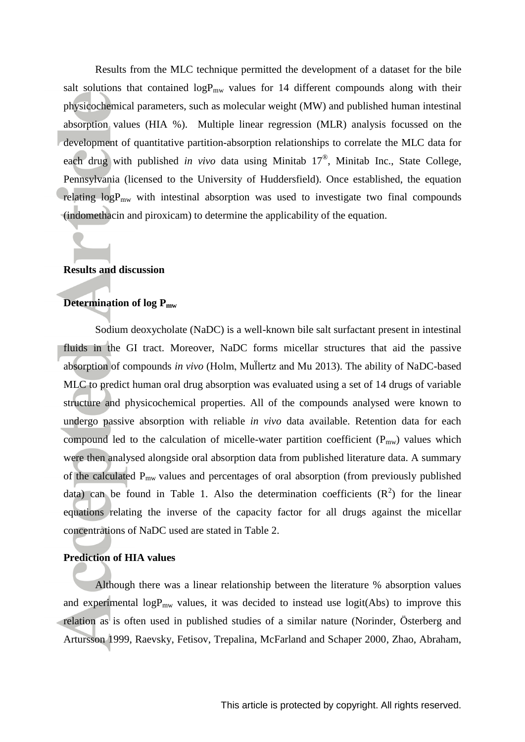Results from the MLC technique permitted the development of a dataset for the bile salt solutions that contained  $logP_{mw}$  values for 14 different compounds along with their physicochemical parameters, such as molecular weight (MW) and published human intestinal absorption values (HIA %). Multiple linear regression (MLR) analysis focussed on the development of quantitative partition-absorption relationships to correlate the MLC data for each drug with published *in vivo* data using Minitab 17® , Minitab Inc., State College, Pennsylvania (licensed to the University of Huddersfield). Once established, the equation relating  $logP_{mw}$  with intestinal absorption was used to investigate two final compounds (indomethacin and piroxicam) to determine the applicability of the equation.

#### **Results and discussion**

#### **Determination of log Pmw**

Sodium deoxycholate (NaDC) is a well-known bile salt surfactant present in intestinal fluids in the GI tract. Moreover, NaDC forms micellar structures that aid the passive absorption of compounds in vivo (Holm, Mullertz and Mu 2013). The ability of NaDC-based MLC to predict human oral drug absorption was evaluated using a set of 14 drugs of variable structure and physicochemical properties. All of the compounds analysed were known to undergo passive absorption with reliable *in vivo* data available. Retention data for each compound led to the calculation of micelle-water partition coefficient  $(P_{mw})$  values which were then analysed alongside oral absorption data from published literature data. A summary of the calculated Pmw values and percentages of oral absorption (from previously published data) can be found in Table 1. Also the determination coefficients  $(R^2)$  for the linear equations relating the inverse of the capacity factor for all drugs against the micellar concentrations of NaDC used are stated in Table 2.

### **Prediction of HIA values**

Although there was a linear relationship between the literature % absorption values and experimental log $P_{mw}$  values, it was decided to instead use logit(Abs) to improve this relation as is often used in published studies of a similar nature [\(Norinder, Österberg and](#page-12-14)  [Artursson 1999,](#page-12-14) [Raevsky, Fetisov, Trepalina, McFarland and Schaper 2000,](#page-12-15) [Zhao, Abraham,](#page-13-11)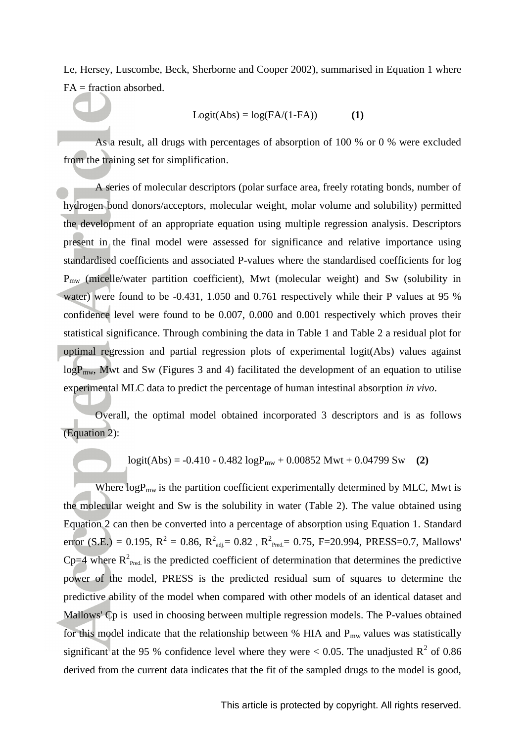Le, Hersey, Luscombe, Beck, Sherborne and Cooper 2002), summarised in Equation 1 where FA = fraction absorbed.

$$
Logit(Abs) = log(FA/(1-FA))
$$
 (1)

As a result, all drugs with percentages of absorption of 100 % or 0 % were excluded from the training set for simplification.

A series of molecular descriptors (polar surface area, freely rotating bonds, number of hydrogen bond donors/acceptors, molecular weight, molar volume and solubility) permitted the development of an appropriate equation using multiple regression analysis. Descriptors present in the final model were assessed for significance and relative importance using standardised coefficients and associated P-values where the standardised coefficients for log  $P_{mw}$  (micelle/water partition coefficient), Mwt (molecular weight) and Sw (solubility in water) were found to be -0.431, 1.050 and 0.761 respectively while their P values at 95 % confidence level were found to be 0.007, 0.000 and 0.001 respectively which proves their statistical significance. Through combining the data in Table 1 and Table 2 a residual plot for optimal regression and partial regression plots of experimental logit(Abs) values against  $logP_{mw}$ , Mwt and Sw (Figures 3 and 4) facilitated the development of an equation to utilise experimental MLC data to predict the percentage of human intestinal absorption *in vivo*.

Overall, the optimal model obtained incorporated 3 descriptors and is as follows (Equation 2):

$$
logit(Abs) = -0.410 - 0.482 logPmw + 0.00852 Mwt + 0.04799 Sw
$$
 (2)

Where  $logP_{mw}$  is the partition coefficient experimentally determined by MLC, Mwt is the molecular weight and Sw is the solubility in water (Table 2). The value obtained using Equation 2 can then be converted into a percentage of absorption using Equation 1. Standard error (S.E.) = 0.195,  $R^2 = 0.86$ ,  $R^2_{\text{adj}} = 0.82$ ,  $R^2_{\text{Pred}} = 0.75$ , F=20.994, PRESS=0.7, Mallows'  $Cp=4$  where  $R^2_{\text{Pred}}$  is the predicted coefficient of determination that determines the predictive power of the model, PRESS is the predicted residual sum of squares to determine the predictive ability of the model when compared with other models of an identical dataset and Mallows' Cp is used in choosing between multiple regression models. The P-values obtained for this model indicate that the relationship between % HIA and  $P_{mw}$  values was statistically significant at the 95 % confidence level where they were  $< 0.05$ . The unadjusted R<sup>2</sup> of 0.86 derived from the current data indicates that the fit of the sampled drugs to the model is good,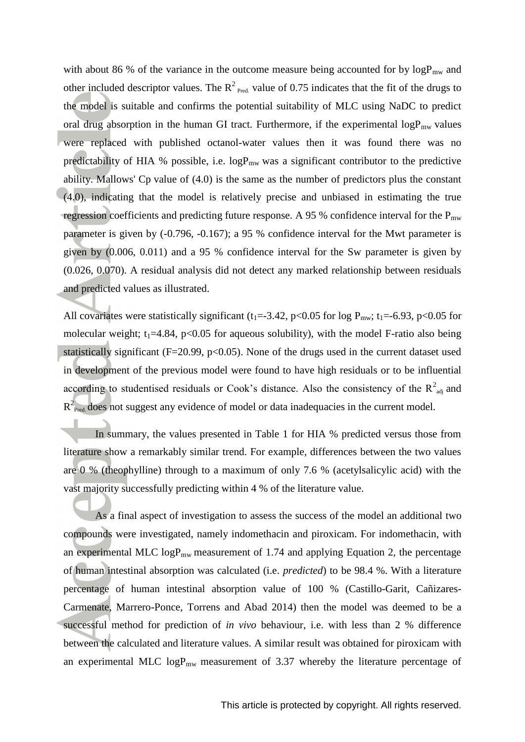with about 86 % of the variance in the outcome measure being accounted for by  $logP_{mw}$  and other included descriptor values. The  $R^2$  <sub>Pred.</sub> value of 0.75 indicates that the fit of the drugs to the model is suitable and confirms the potential suitability of MLC using NaDC to predict oral drug absorption in the human GI tract. Furthermore, if the experimental  $logP_{mw}$  values were replaced with published octanol-water values then it was found there was no predictability of HIA % possible, i.e.  $logP_{mw}$  was a significant contributor to the predictive ability. Mallows' Cp value of (4.0) is the same as the number of predictors plus the constant (4.0), indicating that the model is relatively precise and unbiased in estimating the true regression coefficients and predicting future response. A 95 % confidence interval for the  $P_{mw}$ parameter is given by (-0.796, -0.167); a 95 % confidence interval for the Mwt parameter is given by (0.006, 0.011) and a 95 % confidence interval for the Sw parameter is given by (0.026, 0.070). A residual analysis did not detect any marked relationship between residuals and predicted values as illustrated.

All covariates were statistically significant ( $t_1 = -3.42$ ,  $p < 0.05$  for log  $P_{mw}$ ;  $t_1 = -6.93$ ,  $p < 0.05$  for molecular weight;  $t_1=4.84$ ,  $p<0.05$  for aqueous solubility), with the model F-ratio also being statistically significant ( $F=20.99$ ,  $p<0.05$ ). None of the drugs used in the current dataset used in development of the previous model were found to have high residuals or to be influential according to studentised residuals or Cook's distance. Also the consistency of the  $R^2_{adj}$  and  $R^2_{\text{Pred}}$  does not suggest any evidence of model or data inadequacies in the current model.

In summary, the values presented in Table 1 for HIA % predicted versus those from literature show a remarkably similar trend. For example, differences between the two values are 0 % (theophylline) through to a maximum of only 7.6 % (acetylsalicylic acid) with the vast majority successfully predicting within 4 % of the literature value.

As a final aspect of investigation to assess the success of the model an additional two compounds were investigated, namely indomethacin and piroxicam. For indomethacin, with an experimental MLC  $logP_{mw}$  measurement of 1.74 and applying Equation 2, the percentage of human intestinal absorption was calculated (i.e. *predicted*) to be 98.4 %. With a literature percentage of human intestinal absorption value of 100 % [\(Castillo-Garit, Cañizares-](#page-11-7)[Carmenate, Marrero-Ponce, Torrens and Abad 2014\)](#page-11-7) then the model was deemed to be a successful method for prediction of *in vivo* behaviour, i.e. with less than 2 % difference between the calculated and literature values. A similar result was obtained for piroxicam with an experimental MLC  $logP_{mw}$  measurement of 3.37 whereby the literature percentage of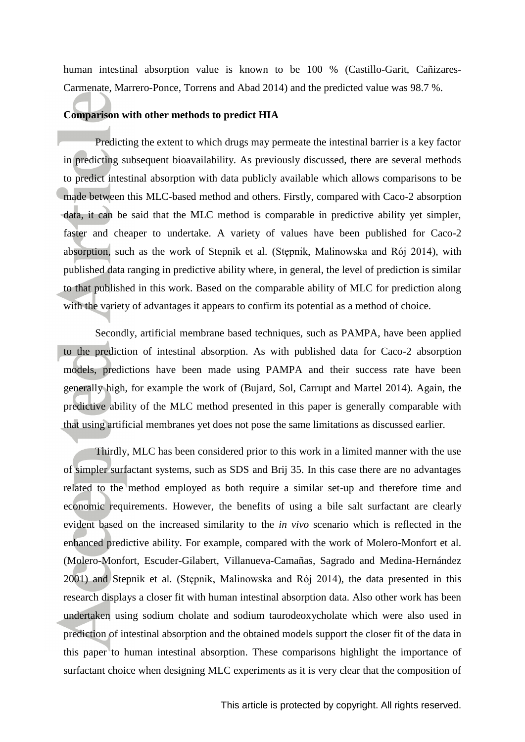human intestinal absorption value is known to be 100 % [\(Castillo-Garit, Cañizares-](#page-11-7)[Carmenate, Marrero-Ponce, Torrens and Abad 2014\)](#page-11-7) and the predicted value was 98.7 %.

#### **Comparison with other methods to predict HIA**

Predicting the extent to which drugs may permeate the intestinal barrier is a key factor in predicting subsequent bioavailability. As previously discussed, there are several methods to predict intestinal absorption with data publicly available which allows comparisons to be made between this MLC-based method and others. Firstly, compared with Caco-2 absorption data, it can be said that the MLC method is comparable in predictive ability yet simpler, faster and cheaper to undertake. A variety of values have been published for Caco-2 absorption, such as the work of Stepnik et al. (Stępnik, Malinowska and Rój 2014), with published data ranging in predictive ability where, in general, the level of prediction is similar to that published in this work. Based on the comparable ability of MLC for prediction along with the variety of advantages it appears to confirm its potential as a method of choice.

Secondly, artificial membrane based techniques, such as PAMPA, have been applied to the prediction of intestinal absorption. As with published data for Caco-2 absorption models, predictions have been made using PAMPA and their success rate have been generally high, for example the work of [\(Bujard, Sol, Carrupt and Martel 2014\)](#page-11-2). Again, the predictive ability of the MLC method presented in this paper is generally comparable with that using artificial membranes yet does not pose the same limitations as discussed earlier.

Thirdly, MLC has been considered prior to this work in a limited manner with the use of simpler surfactant systems, such as SDS and Brij 35. In this case there are no advantages related to the method employed as both require a similar set-up and therefore time and economic requirements. However, the benefits of using a bile salt surfactant are clearly evident based on the increased similarity to the *in vivo* scenario which is reflected in the enhanced predictive ability. For example, compared with the work of Molero-Monfort et al. [\(Molero-Monfort, Escuder-Gilabert, Villanueva-Camañas, Sagrado and Medina-Hernández](#page-12-11)  [2001\)](#page-12-11) and Stepnik et al. (Stępnik, Malinowska and Rój 2014), the data presented in this research displays a closer fit with human intestinal absorption data. Also other work has been undertaken using sodium cholate and sodium taurodeoxycholate which were also used in prediction of intestinal absorption and the obtained models support the closer fit of the data in this paper to human intestinal absorption. These comparisons highlight the importance of surfactant choice when designing MLC experiments as it is very clear that the composition of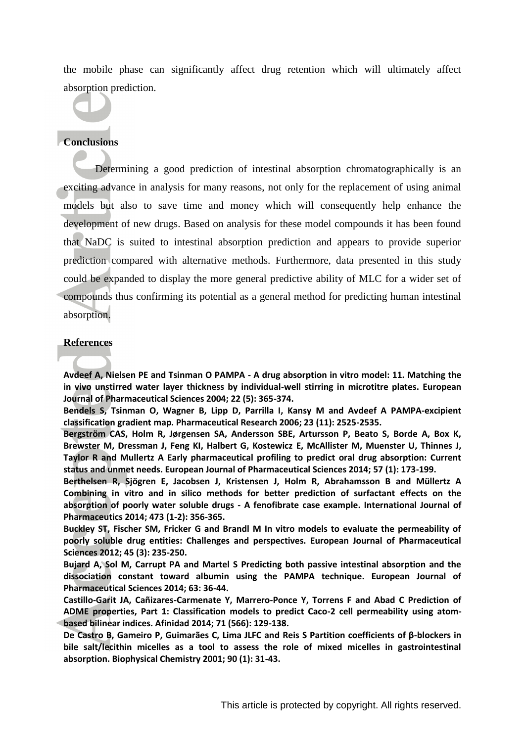the mobile phase can significantly affect drug retention which will ultimately affect absorption prediction.

# **Conclusions**

Determining a good prediction of intestinal absorption chromatographically is an exciting advance in analysis for many reasons, not only for the replacement of using animal models but also to save time and money which will consequently help enhance the development of new drugs. Based on analysis for these model compounds it has been found that NaDC is suited to intestinal absorption prediction and appears to provide superior prediction compared with alternative methods. Furthermore, data presented in this study could be expanded to display the more general predictive ability of MLC for a wider set of compounds thus confirming its potential as a general method for predicting human intestinal absorption.

### **References**

<span id="page-11-4"></span>**Avdeef A, Nielsen PE and Tsinman O PAMPA - A drug absorption in vitro model: 11. Matching the in vivo unstirred water layer thickness by individual-well stirring in microtitre plates. European Journal of Pharmaceutical Sciences 2004; 22 (5): 365-374.**

<span id="page-11-3"></span>**Bendels S, Tsinman O, Wagner B, Lipp D, Parrilla I, Kansy M and Avdeef A PAMPA-excipient classification gradient map. Pharmaceutical Research 2006; 23 (11): 2525-2535.**

<span id="page-11-1"></span>**Bergström CAS, Holm R, Jørgensen SA, Andersson SBE, Artursson P, Beato S, Borde A, Box K, Brewster M, Dressman J, Feng KI, Halbert G, Kostewicz E, McAllister M, Muenster U, Thinnes J, Taylor R and Mullertz A Early pharmaceutical profiling to predict oral drug absorption: Current status and unmet needs. European Journal of Pharmaceutical Sciences 2014; 57 (1): 173-199.**

<span id="page-11-0"></span>**Berthelsen R, Sjögren E, Jacobsen J, Kristensen J, Holm R, Abrahamsson B and Müllertz A Combining in vitro and in silico methods for better prediction of surfactant effects on the absorption of poorly water soluble drugs - A fenofibrate case example. International Journal of Pharmaceutics 2014; 473 (1-2): 356-365.**

<span id="page-11-5"></span>**Buckley ST, Fischer SM, Fricker G and Brandl M In vitro models to evaluate the permeability of poorly soluble drug entities: Challenges and perspectives. European Journal of Pharmaceutical Sciences 2012; 45 (3): 235-250.**

<span id="page-11-2"></span>**Bujard A, Sol M, Carrupt PA and Martel S Predicting both passive intestinal absorption and the dissociation constant toward albumin using the PAMPA technique. European Journal of Pharmaceutical Sciences 2014; 63: 36-44.**

<span id="page-11-7"></span>**Castillo-Garit JA, Cañizares-Carmenate Y, Marrero-Ponce Y, Torrens F and Abad C Prediction of ADME properties, Part 1: Classification models to predict Caco-2 cell permeability using atombased bilinear indices. Afinidad 2014; 71 (566): 129-138.**

<span id="page-11-6"></span>**De Castro B, Gameiro P, Guimarães C, Lima JLFC and Reis S Partition coefficients of β-blockers in bile salt/lecithin micelles as a tool to assess the role of mixed micelles in gastrointestinal absorption. Biophysical Chemistry 2001; 90 (1): 31-43.**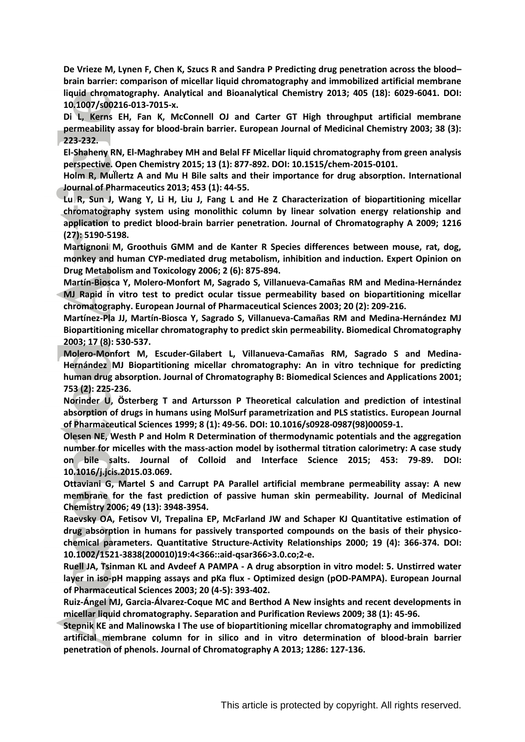<span id="page-12-8"></span>**De Vrieze M, Lynen F, Chen K, Szucs R and Sandra P Predicting drug penetration across the blood– brain barrier: comparison of micellar liquid chromatography and immobilized artificial membrane liquid chromatography. Analytical and Bioanalytical Chemistry 2013; 405 (18): 6029-6041. DOI: 10.1007/s00216-013-7015-x.**

<span id="page-12-2"></span>**Di L, Kerns EH, Fan K, McConnell OJ and Carter GT High throughput artificial membrane permeability assay for blood-brain barrier. European Journal of Medicinal Chemistry 2003; 38 (3): 223-232.**

<span id="page-12-4"></span>**El-Shaheny RN, El-Maghrabey MH and Belal FF Micellar liquid chromatography from green analysis perspective. Open Chemistry 2015; 13 (1): 877-892. DOI: 10.1515/chem-2015-0101.**

<span id="page-12-13"></span> **Holm R, Mullertz A and Mu H Bile salts and their importance for drug absorption. International Journal of Pharmaceutics 2013; 453 (1): 44-55.**

<span id="page-12-6"></span>**Lu R, Sun J, Wang Y, Li H, Liu J, Fang L and He Z Characterization of biopartitioning micellar chromatography system using monolithic column by linear solvation energy relationship and application to predict blood-brain barrier penetration. Journal of Chromatography A 2009; 1216 (27): 5190-5198.**

<span id="page-12-0"></span>**Martignoni M, Groothuis GMM and de Kanter R Species differences between mouse, rat, dog, monkey and human CYP-mediated drug metabolism, inhibition and induction. Expert Opinion on Drug Metabolism and Toxicology 2006; 2 (6): 875-894.**

<span id="page-12-9"></span>**Martín-Biosca Y, Molero-Monfort M, Sagrado S, Villanueva-Camañas RM and Medina-Hernández MJ Rapid in vitro test to predict ocular tissue permeability based on biopartitioning micellar chromatography. European Journal of Pharmaceutical Sciences 2003; 20 (2): 209-216.**

<span id="page-12-10"></span>**Martínez-Pla JJ, Martín-Biosca Y, Sagrado S, Villanueva-Camañas RM and Medina-Hernández MJ Biopartitioning micellar chromatography to predict skin permeability. Biomedical Chromatography 2003; 17 (8): 530-537.**

<span id="page-12-11"></span>**Molero-Monfort M, Escuder-Gilabert L, Villanueva-Camañas RM, Sagrado S and Medina-Hernández MJ Biopartitioning micellar chromatography: An in vitro technique for predicting human drug absorption. Journal of Chromatography B: Biomedical Sciences and Applications 2001; 753 (2): 225-236.**

<span id="page-12-14"></span>**Norinder U, Österberg T and Artursson P Theoretical calculation and prediction of intestinal absorption of drugs in humans using MolSurf parametrization and PLS statistics. European Journal of Pharmaceutical Sciences 1999; 8 (1): 49-56. DOI: 10.1016/s0928-0987(98)00059-1.**

<span id="page-12-12"></span>**Olesen NE, Westh P and Holm R Determination of thermodynamic potentials and the aggregation number for micelles with the mass-action model by isothermal titration calorimetry: A case study on bile salts. Journal of Colloid and Interface Science 2015; 453: 79-89. DOI: 10.1016/j.jcis.2015.03.069.**

<span id="page-12-1"></span>**Ottaviani G, Martel S and Carrupt PA Parallel artificial membrane permeability assay: A new membrane for the fast prediction of passive human skin permeability. Journal of Medicinal Chemistry 2006; 49 (13): 3948-3954.**

<span id="page-12-15"></span>**Raevsky OA, Fetisov VI, Trepalina EP, McFarland JW and Schaper KJ Quantitative estimation of drug absorption in humans for passively transported compounds on the basis of their physicochemical parameters. Quantitative Structure-Activity Relationships 2000; 19 (4): 366-374. DOI: 10.1002/1521-3838(200010)19:4<366::aid-qsar366>3.0.co;2-e.**

<span id="page-12-3"></span>**Ruell JA, Tsinman KL and Avdeef A PAMPA - A drug absorption in vitro model: 5. Unstirred water layer in iso-pH mapping assays and pKa flux - Optimized design (pOD-PAMPA). European Journal of Pharmaceutical Sciences 2003; 20 (4-5): 393-402.**

<span id="page-12-5"></span>**Ruiz-Ángel MJ, Garcia-Álvarez-Coque MC and Berthod A New insights and recent developments in micellar liquid chromatography. Separation and Purification Reviews 2009; 38 (1): 45-96.**

<span id="page-12-7"></span>**Stepnik KE and Malinowska I The use of biopartitioning micellar chromatography and immobilized artificial membrane column for in silico and in vitro determination of blood-brain barrier penetration of phenols. Journal of Chromatography A 2013; 1286: 127-136.**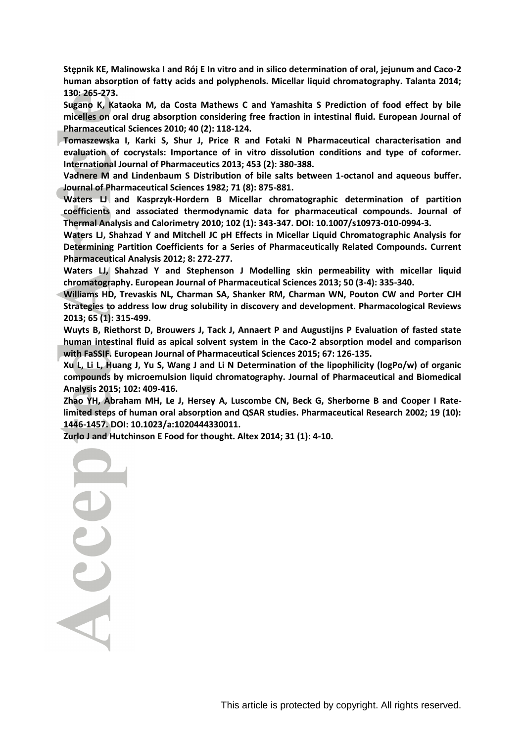<span id="page-13-9"></span>**Stȩ nik KE a inowska I and Rój E In vitro and in si ico deter ination of ora jej n and Caco-2 human absorption of fatty acids and polyphenols. Micellar liquid chromatography. Talanta 2014; 130: 265-273.**

<span id="page-13-3"></span>**Sugano K, Kataoka M, da Costa Mathews C and Yamashita S Prediction of food effect by bile micelles on oral drug absorption considering free fraction in intestinal fluid. European Journal of Pharmaceutical Sciences 2010; 40 (2): 118-124.**

<span id="page-13-2"></span>**Tomaszewska I, Karki S, Shur J, Price R and Fotaki N Pharmaceutical characterisation and evaluation of cocrystals: Importance of in vitro dissolution conditions and type of coformer. International Journal of Pharmaceutics 2013; 453 (2): 380-388.**

<span id="page-13-10"></span>**Vadnere M and Lindenbaum S Distribution of bile salts between 1-octanol and aqueous buffer. Journal of Pharmaceutical Sciences 1982; 71 (8): 875-881.**

<span id="page-13-5"></span>**Waters LJ and Kasprzyk-Hordern B Micellar chromatographic determination of partition coefficients and associated thermodynamic data for pharmaceutical compounds. Journal of Thermal Analysis and Calorimetry 2010; 102 (1): 343-347. DOI: 10.1007/s10973-010-0994-3.**

<span id="page-13-6"></span>**Waters LJ, Shahzad Y and Mitchell JC pH Effects in Micellar Liquid Chromatographic Analysis for Determining Partition Coefficients for a Series of Pharmaceutically Related Compounds. Current Pharmaceutical Analysis 2012; 8: 272-277.**

<span id="page-13-8"></span>**Waters LJ, Shahzad Y and Stephenson J Modelling skin permeability with micellar liquid chromatography. European Journal of Pharmaceutical Sciences 2013; 50 (3-4): 335-340.**

<span id="page-13-0"></span>**Williams HD, Trevaskis NL, Charman SA, Shanker RM, Charman WN, Pouton CW and Porter CJH Strategies to address low drug solubility in discovery and development. Pharmacological Reviews 2013; 65 (1): 315-499.**

<span id="page-13-4"></span>**Wuyts B, Riethorst D, Brouwers J, Tack J, Annaert P and Augustijns P Evaluation of fasted state human intestinal fluid as apical solvent system in the Caco-2 absorption model and comparison with FaSSIF. European Journal of Pharmaceutical Sciences 2015; 67: 126-135.**

<span id="page-13-7"></span>**Xu L, Li L, Huang J, Yu S, Wang J and Li N Determination of the lipophilicity (logPo/w) of organic compounds by microemulsion liquid chromatography. Journal of Pharmaceutical and Biomedical Analysis 2015; 102: 409-416.**

<span id="page-13-11"></span>**Zhao YH, Abraham MH, Le J, Hersey A, Luscombe CN, Beck G, Sherborne B and Cooper I Ratelimited steps of human oral absorption and QSAR studies. Pharmaceutical Research 2002; 19 (10): 1446-1457. DOI: 10.1023/a:1020444330011.**

<span id="page-13-1"></span>**Zurlo J and Hutchinson E Food for thought. Altex 2014; 31 (1): 4-10.**

Acce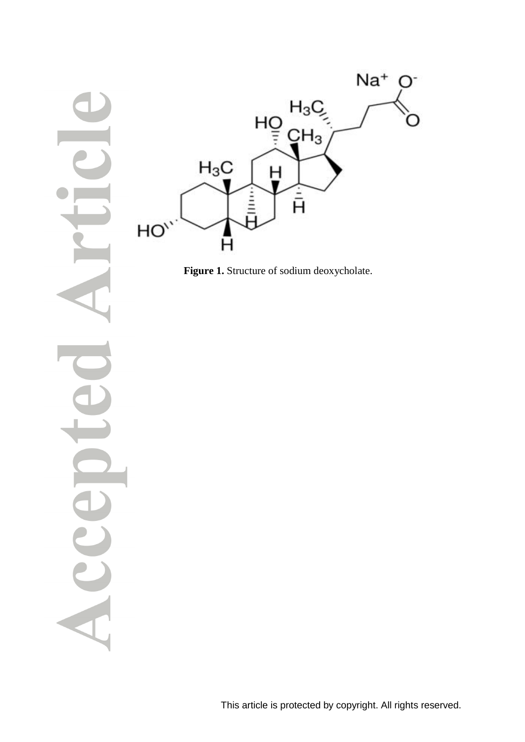



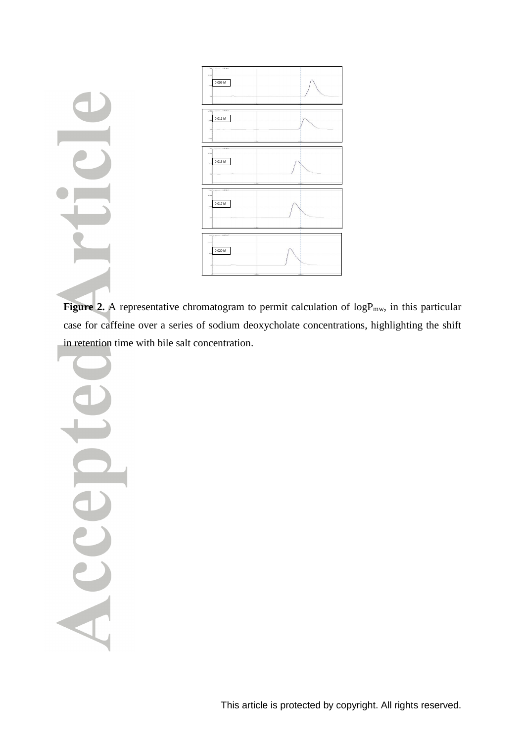

Figure 2. A representative chromatogram to permit calculation of logP<sub>mw</sub>, in this particular case for caffeine over a series of sodium deoxycholate concentrations, highlighting the shift in retention time with bile salt concentration.

Acce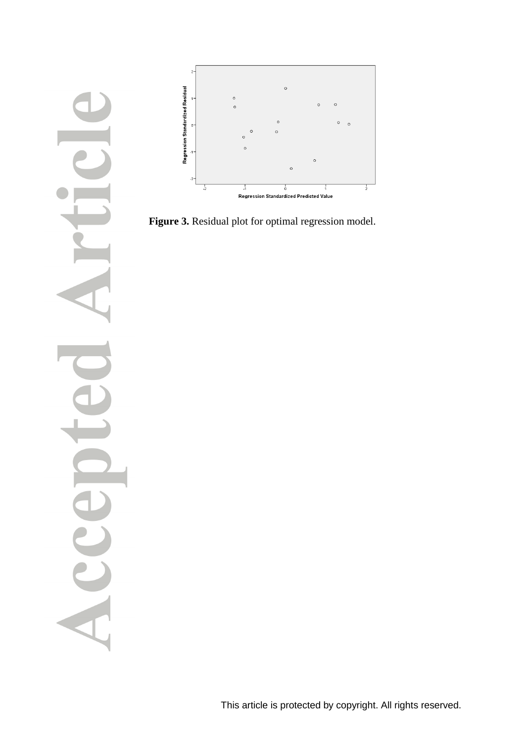



**Figure 3.** Residual plot for optimal regression model.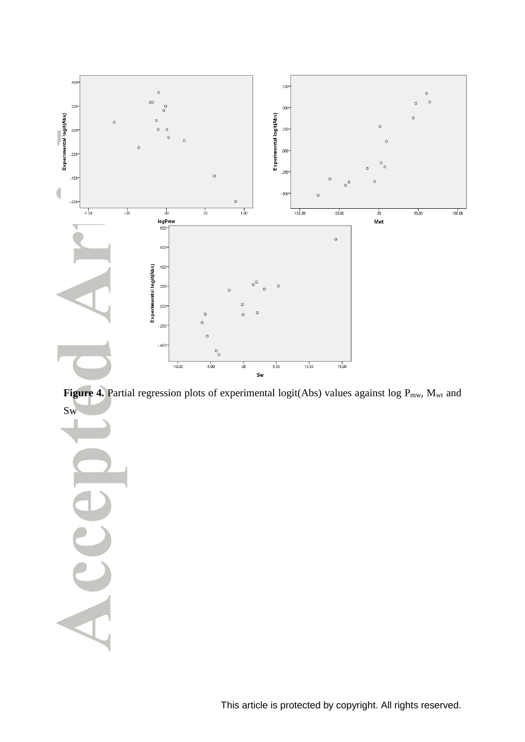

Figure 4. Partial regression plots of experimental logit(Abs) values against log P<sub>mw</sub>, M<sub>wt</sub> and Sw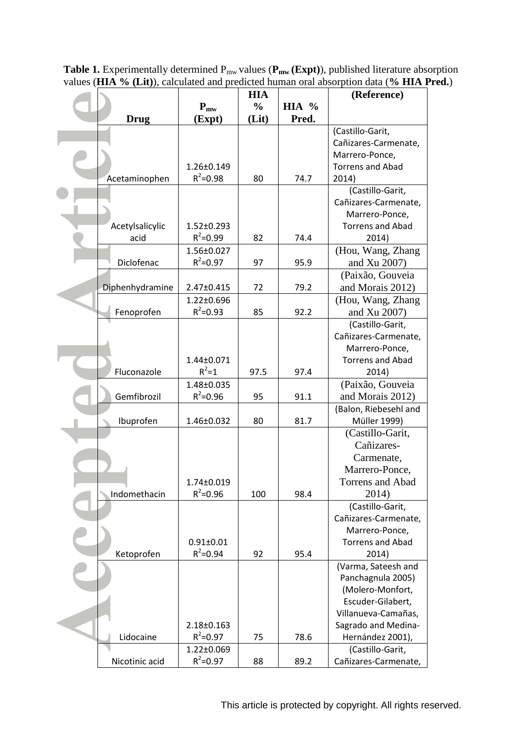**Table 1.** Experimentally determined P<sub>mw</sub> values (P<sub>mw</sub> (Expt)), published literature absorption values (**HIA % (Lit)**), calculated and predicted human oral absorption data (**% HIA Pred.**)

|                 | <b>HIA</b>       |               |                | (Reference)             |  |
|-----------------|------------------|---------------|----------------|-------------------------|--|
|                 | $P_{mw}$         | $\frac{0}{0}$ | <b>HIA</b> $%$ |                         |  |
| <b>Drug</b>     | (Expt)           | (Lit)         | Pred.          |                         |  |
|                 |                  |               |                | (Castillo-Garit,        |  |
|                 |                  |               |                | Cañizares-Carmenate,    |  |
|                 |                  |               |                | Marrero-Ponce,          |  |
|                 | $1.26 \pm 0.149$ |               |                | <b>Torrens and Abad</b> |  |
| Acetaminophen   | $R^2 = 0.98$     | 80            | 74.7           | 2014)                   |  |
|                 |                  |               |                | (Castillo-Garit,        |  |
|                 |                  |               |                | Cañizares-Carmenate,    |  |
|                 |                  |               |                | Marrero-Ponce,          |  |
| Acetylsalicylic | $1.52 \pm 0.293$ |               |                | <b>Torrens and Abad</b> |  |
| acid            | $R^2 = 0.99$     | 82            | 74.4           | 2014)                   |  |
|                 | 1.56±0.027       |               |                | (Hou, Wang, Zhang       |  |
| Diclofenac      | $R^2 = 0.97$     | 97            | 95.9           | and Xu 2007)            |  |
|                 |                  |               |                | (Paixão, Gouveia        |  |
| Diphenhydramine |                  | 72            | 79.2           | and Morais 2012)        |  |
|                 | 2.47±0.415       |               |                |                         |  |
|                 | $1.22 \pm 0.696$ |               |                | (Hou, Wang, Zhang       |  |
| Fenoprofen      | $R^2 = 0.93$     | 85            | 92.2           | and Xu 2007)            |  |
|                 |                  |               |                | (Castillo-Garit,        |  |
|                 |                  |               |                | Cañizares-Carmenate,    |  |
|                 |                  |               |                | Marrero-Ponce,          |  |
|                 | 1.44±0.071       |               |                | <b>Torrens and Abad</b> |  |
| Fluconazole     | $R^2 = 1$        | 97.5          | 97.4           | 2014)                   |  |
|                 | 1.48±0.035       |               |                | (Paixão, Gouveia        |  |
| Gemfibrozil     | $R^2 = 0.96$     | 95            | 91.1           | and Morais 2012)        |  |
|                 |                  |               |                | (Balon, Riebesehl and   |  |
| Ibuprofen       | 1.46±0.032       | 80            | 81.7           | <b>Müller 1999)</b>     |  |
|                 |                  |               |                | (Castillo-Garit,        |  |
|                 |                  |               |                | Cañizares-              |  |
|                 |                  |               |                | Carmenate,              |  |
|                 |                  |               |                | Marrero-Ponce,          |  |
|                 | 1.74±0.019       |               |                | Torrens and Abad        |  |
| Indomethacin    | $R^2 = 0.96$     | 100           | 98.4           | 2014)                   |  |
|                 |                  |               |                | (Castillo-Garit,        |  |
|                 |                  |               |                | Cañizares-Carmenate,    |  |
|                 |                  |               |                | Marrero-Ponce,          |  |
|                 | $0.91 \pm 0.01$  |               |                | <b>Torrens and Abad</b> |  |
| Ketoprofen      | $R^2 = 0.94$     | 92            | 95.4           | 2014)                   |  |
|                 |                  |               |                | (Varma, Sateesh and     |  |
|                 |                  |               |                | Panchagnula 2005)       |  |
|                 |                  |               |                | (Molero-Monfort,        |  |
|                 |                  |               |                | Escuder-Gilabert,       |  |
|                 |                  |               |                | Villanueva-Camañas,     |  |
|                 | 2.18±0.163       |               |                | Sagrado and Medina-     |  |
| Lidocaine       | $R^2 = 0.97$     | 75            | 78.6           | Hernández 2001),        |  |
|                 | $1.22 \pm 0.069$ |               |                | (Castillo-Garit,        |  |
| Nicotinic acid  | $R^2 = 0.97$     | 88            | 89.2           | Cañizares-Carmenate,    |  |
|                 |                  |               |                |                         |  |